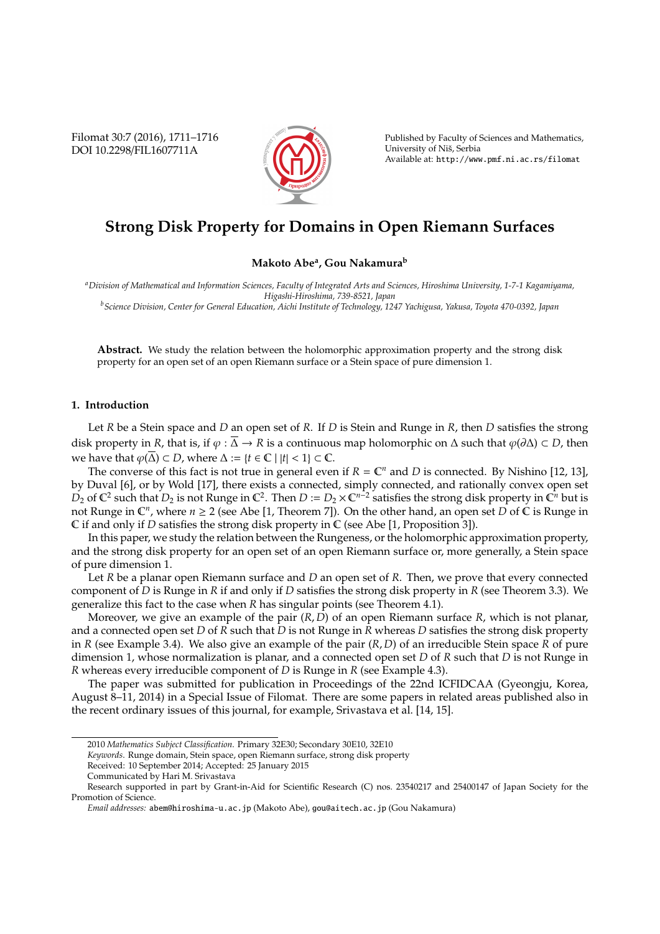Filomat 30:7 (2016), 1711–1716 DOI 10.2298/FIL1607711A



Published by Faculty of Sciences and Mathematics, University of Niš, Serbia Available at: http://www.pmf.ni.ac.rs/filomat

# **Strong Disk Property for Domains in Open Riemann Surfaces**

**Makoto Abe<sup>a</sup> , Gou Nakamura<sup>b</sup>**

*<sup>a</sup>Division of Mathematical and Information Sciences, Faculty of Integrated Arts and Sciences, Hiroshima University, 1-7-1 Kagamiyama, Higashi-Hiroshima, 739-8521, Japan*

*<sup>b</sup>Science Division, Center for General Education, Aichi Institute of Technology, 1247 Yachigusa, Yakusa, Toyota 470-0392, Japan*

**Abstract.** We study the relation between the holomorphic approximation property and the strong disk property for an open set of an open Riemann surface or a Stein space of pure dimension 1.

# **1. Introduction**

Let *R* be a Stein space and *D* an open set of *R*. If *D* is Stein and Runge in *R*, then *D* satisfies the strong disk property in *R*, that is, if  $\varphi : \overline{\Delta} \to R$  is a continuous map holomorphic on  $\Delta$  such that  $\varphi(\partial \Delta) \subset D$ , then we have that  $\varphi(\overline{\Delta}) \subset D$ , where  $\Delta := \{t \in \mathbb{C} \mid |t| < 1\} \subset \mathbb{C}$ .

The converse of this fact is not true in general even if  $R = \mathbb{C}^n$  and *D* is connected. By Nishino [12, 13], by Duval [6], or by Wold [17], there exists a connected, simply connected, and rationally convex open set  $D_2$  of  $\mathbb{C}^2$  such that  $D_2$  is not Runge in  $\mathbb{C}^2$ . Then  $D := D_2 \times \mathbb{C}^{n-2}$  satisfies the strong disk property in  $\mathbb{C}^n$  but is not Runge in  $\mathbb{C}^n$ , where  $n \geq 2$  (see Abe [1, Theorem 7]). On the other hand, an open set  $D$  of  $\mathbb C$  is Runge in C if and only if *D* satisfies the strong disk property in C (see Abe [1, Proposition 3]).

In this paper, we study the relation between the Rungeness, or the holomorphic approximation property, and the strong disk property for an open set of an open Riemann surface or, more generally, a Stein space of pure dimension 1.

Let *R* be a planar open Riemann surface and *D* an open set of *R*. Then, we prove that every connected component of *D* is Runge in *R* if and only if *D* satisfies the strong disk property in *R* (see Theorem 3.3). We generalize this fact to the case when *R* has singular points (see Theorem 4.1).

Moreover, we give an example of the pair (*R*, *D*) of an open Riemann surface *R*, which is not planar, and a connected open set *D* of *R* such that *D* is not Runge in *R* whereas *D* satisfies the strong disk property in *R* (see Example 3.4). We also give an example of the pair (*R*, *D*) of an irreducible Stein space *R* of pure dimension 1, whose normalization is planar, and a connected open set *D* of *R* such that *D* is not Runge in *R* whereas every irreducible component of *D* is Runge in *R* (see Example 4.3).

The paper was submitted for publication in Proceedings of the 22nd ICFIDCAA (Gyeongju, Korea, August 8–11, 2014) in a Special Issue of Filomat. There are some papers in related areas published also in the recent ordinary issues of this journal, for example, Srivastava et al. [14, 15].

*Keywords*. Runge domain, Stein space, open Riemann surface, strong disk property

<sup>2010</sup> *Mathematics Subject Classification*. Primary 32E30; Secondary 30E10, 32E10

Received: 10 September 2014; Accepted: 25 January 2015

Communicated by Hari M. Srivastava

Research supported in part by Grant-in-Aid for Scientific Research (C) nos. 23540217 and 25400147 of Japan Society for the Promotion of Science.

*Email addresses:* abem@hiroshima-u.ac.jp (Makoto Abe), gou@aitech.ac.jp (Gou Nakamura)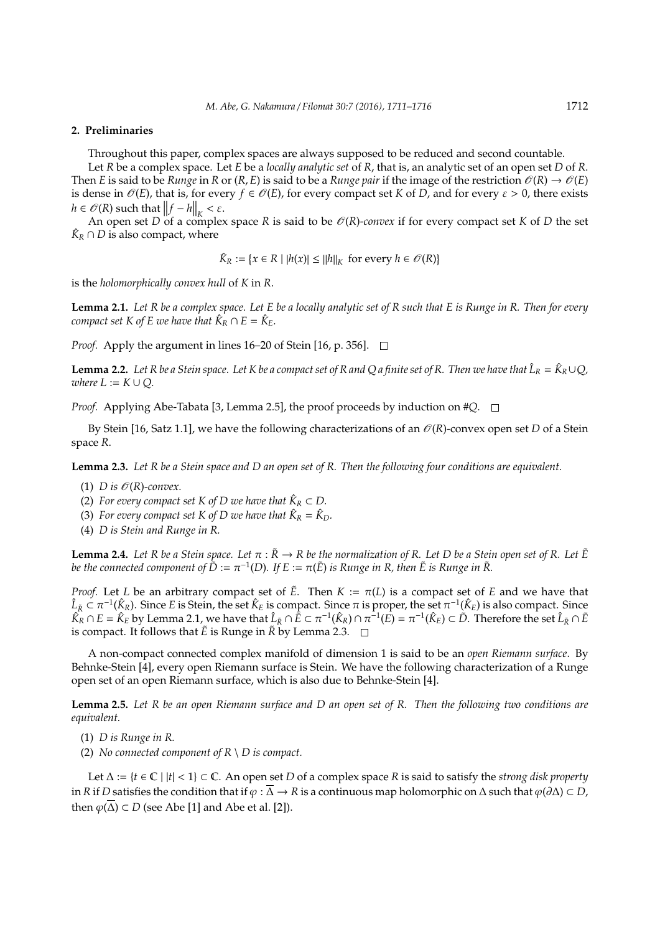### **2. Preliminaries**

Throughout this paper, complex spaces are always supposed to be reduced and second countable.

Let *R* be a complex space. Let *E* be a *locally analytic set* of *R*, that is, an analytic set of an open set *D* of *R*. Then *E* is said to be *Runge* in *R* or  $(R, E)$  is said to be a *Runge pair* if the image of the restriction  $\mathcal{O}(R) \to \mathcal{O}(E)$ is dense in  $\mathcal{O}(E)$ , that is, for every  $f \in \mathcal{O}(E)$ , for every compact set *K* of *D*, and for every  $\varepsilon > 0$ , there exists  $h \in \mathcal{O}(R)$  such that  $||f - h||_K < \varepsilon$ .

An open set *D* of a complex space *R* is said to be  $O(R)$ -*convex* if for every compact set *K* of *D* the set *A*  $\hat{K}_R \cap D$  is also compact, where

 $\hat{K}_R := \{x \in R \mid |h(x)| \le ||h||_K \text{ for every } h \in \mathcal{O}(R)\}$ 

is the *holomorphically convex hull* of *K* in *R*.

**Lemma 2.1.** *Let R be a complex space. Let E be a locally analytic set of R such that E is Runge in R. Then for every compact set*  $K$  *of*  $E$  *we have that*  $\hat{K}_R \cap E = \hat{K}_E$ *.* 

*Proof.* Apply the argument in lines 16–20 of Stein [16, p. 356].  $\Box$ 

**Lemma 2.2.** Let R be a Stein space. Let K be a compact set of R and Q a finite set of R. Then we have that  $\hat{L}_R = \hat{K}_R \cup Q$ ,  $where L := K \cup Q$ .

*Proof.* Applying Abe-Tabata [3, Lemma 2.5], the proof proceeds by induction on #*Q*. □

By Stein [16, Satz 1.1], we have the following characterizations of an  $\mathcal{O}(R)$ -convex open set *D* of a Stein space *R*.

**Lemma 2.3.** *Let R be a Stein space and D an open set of R. Then the following four conditions are equivalent.*

- (1) *D* is  $\mathcal{O}(R)$ -convex.
- (2) *For every compact set K of D we have that*  $\hat{K}_R \subset D$ .
- (3) For every compact set K of D we have that  $\hat{K}_R = \hat{K}_D$ .
- (4) *D is Stein and Runge in R.*

**Lemma 2.4.** Let R be a Stein space. Let  $\pi : \tilde{R} \to R$  be the normalization of R. Let D be a Stein open set of R. Let  $\tilde{E}$ be the connected component of  $\dot{\tilde{D}}:=\pi^{-1}(D).$  If  $E:=\pi(\tilde{E})$  is Runge in R, then  $\tilde{E}$  is Runge in  $\tilde{R}.$ 

*Proof.* Let *L* be an arbitrary compact set of  $\tilde{E}$ . Then  $K := \pi(L)$  is a compact set of *E* and we have that  $\hat{L}_{\tilde{R}} \subset \pi^{-1}(\hat{K}_R)$ . Since *E* is Stein, the set  $\hat{K}_E$  is compact. Since  $\pi$  is proper, the set  $\pi^{-1}(\hat{K}_E)$  is also compact. Since  $\hat{K}_R \cap E = \hat{K}_E$  by Lemma 2.1, we have that  $\hat{L}_{\tilde{K}} \cap \tilde{E} \subset \pi^{-1}(\hat{K}_R) \cap \pi^{-1}(\tilde{E}) = \pi^{-1}(\hat{K}_E) \subset \tilde{D}$ . Therefore the set  $\hat{L}_{\tilde{K}} \cap \tilde{E}$ is compact. It follows that  $\tilde{E}$  is Runge in  $\tilde{R}$  by Lemma 2.3.  $\Box$ 

A non-compact connected complex manifold of dimension 1 is said to be an *open Riemann surface*. By Behnke-Stein [4], every open Riemann surface is Stein. We have the following characterization of a Runge open set of an open Riemann surface, which is also due to Behnke-Stein [4].

**Lemma 2.5.** *Let R be an open Riemann surface and D an open set of R. Then the following two conditions are equivalent.*

(1) *D is Runge in R.*

(2) *No connected component of R* \ *D is compact.*

Let ∆ := {*t* ∈ C | |*t*| < 1} ⊂ C. An open set *D* of a complex space *R* is said to satisfy the *strong disk property* in *R* if *D* satisfies the condition that if  $\varphi$  :  $\overline{\Delta}$  → *R* is a continuous map holomorphic on  $\Delta$  such that  $\varphi(\partial \Delta) \subset D$ , then  $\varphi(\overline{\Delta}) \subset D$  (see Abe [1] and Abe et al. [2]).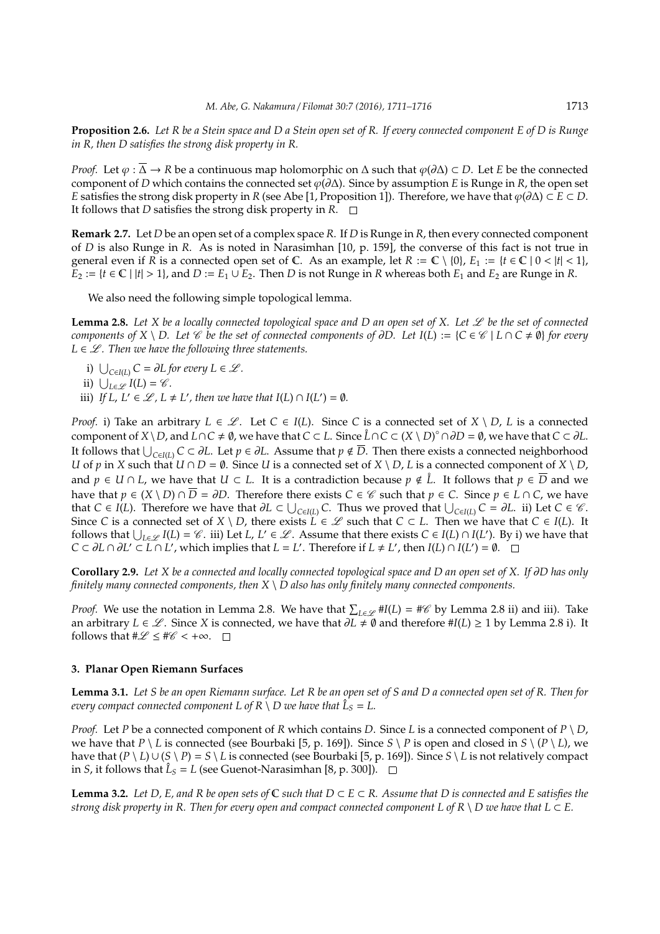**Proposition 2.6.** *Let R be a Stein space and D a Stein open set of R. If every connected component E of D is Runge in R, then D satisfies the strong disk property in R.*

*Proof.* Let  $\varphi : \Delta \to \mathbb{R}$  be a continuous map holomorphic on  $\Delta$  such that  $\varphi(\partial \Delta) \subset D$ . Let *E* be the connected component of *D* which contains the connected set  $\varphi(\partial \Delta)$ . Since by assumption *E* is Runge in *R*, the open set *E* satisfies the strong disk property in *R* (see Abe [1, Proposition 1]). Therefore, we have that  $\varphi(\partial \Delta) \subset E \subset D$ . It follows that *D* satisfies the strong disk property in *R*.

**Remark 2.7.** Let *D* be an open set of a complex space *R*. If *D* is Runge in *R*, then every connected component of *D* is also Runge in *R*. As is noted in Narasimhan [10, p. 159], the converse of this fact is not true in general even if *R* is a connected open set of C. As an example, let  $R := \mathbb{C} \setminus \{0\}$ ,  $E_1 := \{t \in \mathbb{C} \mid 0 < |t| < 1\}$ , *E*<sub>2</sub> := {*t* ∈ **C** |  $|t| > 1$ }, and *D* := *E*<sub>1</sub> ∪ *E*<sub>2</sub>. Then *D* is not Runge in *R* whereas both *E*<sub>1</sub> and *E*<sub>2</sub> are Runge in *R*.

We also need the following simple topological lemma.

Lemma 2.8. Let X be a locally connected topological space and D an open set of X. Let  $\mathscr L$  be the set of connected *components of*  $X \setminus D$ . Let  $\mathscr C$  *be the set of connected components of*  $\partial D$ . Let  $I(L) := \{C \in \mathscr C \mid L \cap C \neq \emptyset\}$  *for every*  $L \in \mathcal{L}$ . Then we have the following three statements.

- *i*)  $\bigcup_{C \in I(L)} C = \partial L$  *for every*  $L \in \mathcal{L}$ *.*
- ii)  $\bigcup_{L\in\mathscr{L}} I(L) = \mathscr{C}$ *.*
- iii) *If L*, *L*<sup> $\cdot \in \mathcal{L}$ , *L*  $\neq$  *L*<sup> $\prime$ </sup>, then we have that *I*(*L*)  $\cap$  *I*(*L*<sup> $\prime$ </sup>) =  $\emptyset$ *.*</sup>

*Proof.* i) Take an arbitrary  $L \in \mathcal{L}$ . Let  $C \in I(L)$ . Since C is a connected set of  $X \setminus D$ , L is a connected component of  $X\setminus D$ , and  $\overline{L}\cap C\neq\emptyset$ , we have that  $C\subset L$ . Since  $\mathring{L}\cap C\subset (X\setminus D)^\circ\cap\partial D=\emptyset$ , we have that  $C\subset\partial L$ . It follows that S *<sup>C</sup>*∈*I*(*L*) *<sup>C</sup>* <sup>⊂</sup> <sup>∂</sup>*L*. Let *<sup>p</sup>* <sup>∈</sup> <sup>∂</sup>*L*. Assume that *<sup>p</sup>* <sup>&</sup>lt; *<sup>D</sup>*. Then there exists a connected neighborhood *U* of *p* in *X* such that  $U \cap D = \emptyset$ . Since *U* is a connected set of  $X \setminus D$ , *L* is a connected component of  $X \setminus D$ , and  $p \in U \cap L$ , we have that  $U \subset L$ . It is a contradiction because  $p \notin \mathring{L}$ . It follows that  $p \in \overline{D}$  and we have that *p* ∈ (*X* \ *D*) ∩  $\overline{D}$  = ∂*D*. Therefore there exists *C* ∈  $\mathscr C$  such that *p* ∈ *C*. Since *p* ∈ *L* ∩ *C*, we have that *C* ∈ *I*(*L*). Therefore we have that  $\partial L \subset \bigcup_{C \in I(L)} C$ . Thus we proved that  $\bigcup_{C \in I(L)} C = \partial L$ . ii) Let *C* ∈ *C*. Since *C* is a connected set of  $X \setminus D$ , there exists  $L \in \mathcal{L}$  such that  $C \subset L$ . Then we have that  $C \in I(L)$ . It follows that  $\bigcup_{L\in\mathscr{L}} I(L) = \mathscr{C}$ . iii) Let *L*, *L'*  $\in\mathscr{L}$ . Assume that there exists *C*  $\in$  *I*(*L*)  $\cap$  *I*(*L'*). By i) we have that  $C \subset \partial L \cap \partial L' \subset \overline{L} \cap L'$ , which implies that  $L = L'$ . Therefore if  $L \neq L'$ , then  $I(L) \cap I(L') = \emptyset$ .

**Corollary 2.9.** *Let X be a connected and locally connected topological space and D an open set of X. If* ∂*D has only finitely many connected components, then X* \ *D also has only finitely many connected components.*

*Proof.* We use the notation in Lemma 2.8. We have that  $\sum_{L\in\mathscr{L}} \#I(L) = \#C$  by Lemma 2.8 ii) and iii). Take an arbitrary *L* ∈ *L*. Since *X* is connected, we have that  $\partial L \neq \emptyset$  and therefore #*I*(*L*) ≥ 1 by Lemma 2.8 i). It follows that  $\#\mathscr{L} \leq \#\mathscr{C} < +\infty$ .  $\square$ 

## **3. Planar Open Riemann Surfaces**

**Lemma 3.1.** *Let S be an open Riemann surface. Let R be an open set of S and D a connected open set of R. Then for every compact connected component L of R*  $\setminus$  *D we have that*  $\hat{L}_S = L$ *.* 

*Proof.* Let *P* be a connected component of *R* which contains *D*. Since *L* is a connected component of  $P \setminus D$ , we have that  $P \setminus L$  is connected (see Bourbaki [5, p. 169]). Since  $S \setminus P$  is open and closed in  $S \setminus (P \setminus L)$ , we have that  $(P \setminus L) \cup (S \setminus P) = S \setminus L$  is connected (see Bourbaki [5, p. 169]). Since  $S \setminus L$  is not relatively compact in *S*, it follows that  $\hat{L}_S = L$  (see Guenot-Narasimhan [8, p. 300]).

**Lemma 3.2.** *Let D, E, and R be open sets of*  $\mathbb C$  *such that*  $D \subset E \subset R$ *. Assume that D is connected and E satisfies the strong disk property in R. Then for every open and compact connected component L of R \ D we have that L*  $\subset$  *E.*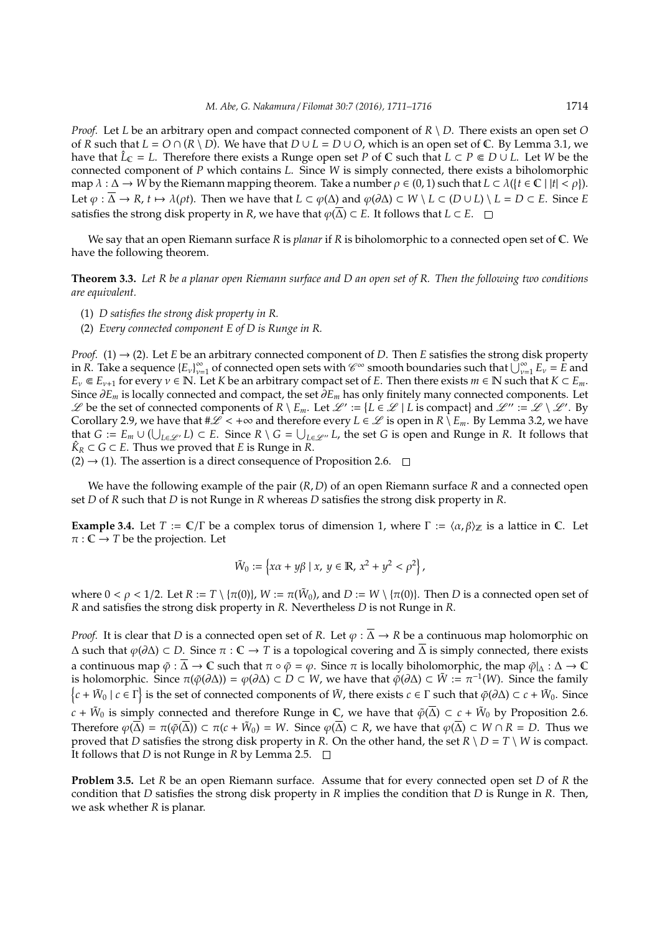*Proof.* Let *L* be an arbitrary open and compact connected component of *R* \ *D*. There exists an open set *O* of *R* such that  $L = O \cap (R \setminus D)$ . We have that  $D \cup L = D \cup O$ , which is an open set of C. By Lemma 3.1, we have that  $\hat{L}_\mathbb{C} = L$ . Therefore there exists a Runge open set *P* of  $\mathbb{C}$  such that  $L \subset P \in D \cup L$ . Let *W* be the connected component of *P* which contains *L*. Since *W* is simply connected, there exists a biholomorphic map  $\lambda : \Delta \to W$  by the Riemann mapping theorem. Take a number  $\rho \in (0,1)$  such that  $L \subset \lambda({t \in \mathbb{C} \mid |t| < \rho})$ . Let  $\varphi : \overline{\Delta} \to R$ ,  $t \mapsto \lambda(\rho t)$ . Then we have that  $L \subset \varphi(\Delta)$  and  $\varphi(\partial \Delta) \subset W \setminus L \subset (D \cup L) \setminus L = D \subset E$ . Since *E* satisfies the strong disk property in *R*, we have that  $\varphi(\overline{\Delta}) \subset E$ . It follows that *L* ⊂ *E*. □

We say that an open Riemann surface *R* is *planar* if *R* is biholomorphic to a connected open set of C. We have the following theorem.

**Theorem 3.3.** *Let R be a planar open Riemann surface and D an open set of R. Then the following two conditions are equivalent.*

- (1) *D satisfies the strong disk property in R.*
- (2) *Every connected component E of D is Runge in R.*

*Proof.* (1)  $\rightarrow$  (2). Let *E* be an arbitrary connected component of *D*. Then *E* satisfies the strong disk property in *R*. Take a sequence {*E*ν} ∞  $\int_{v=1}^{\infty}$  of connected open sets with  $\mathscr{C}^{\infty}$  smooth boundaries such that  $\bigcup_{v=1}^{\infty} E_v = E$  and *E*<sub>ν</sub>  $\in$  *E*<sub>ν+1</sub> for every  $\nu \in \mathbb{N}$ . Let *K* be an arbitrary compact set of *E*. Then there exists *m*  $\in$  **N** such that *K* ⊂ *E*<sub>*m*</sub>. Since ∂*E<sup>m</sup>* is locally connected and compact, the set ∂*E<sup>m</sup>* has only finitely many connected components. Let  $\mathscr L$  be the set of connected components of  $R \setminus E_m$ . Let  $\mathscr L' := \{ L \in \mathscr L \mid L \text{ is compact}\}$  and  $\mathscr L'' := \mathscr L \setminus \mathscr L'$ . By Corollary 2.9, we have that  $\#\mathscr{L} < +\infty$  and therefore every  $L \in \mathscr{L}$  is open in  $R \setminus E_m$ . By Lemma 3.2, we have that  $G := E_m \cup (\bigcup_{L \in \mathscr{L'}} L) \subset E$ . Since  $R \setminus G = \bigcup_{L \in \mathscr{L''}} L$ , the set *G* is open and Runge in *R*. It follows that  $\hat{K}_R$  ⊂ *G* ⊂ *E*. Thus we proved that *E* is Runge in *R*.

 $(2) \rightarrow (1)$ . The assertion is a direct consequence of Proposition 2.6.  $\Box$ 

We have the following example of the pair (*R*, *D*) of an open Riemann surface *R* and a connected open set *D* of *R* such that *D* is not Runge in *R* whereas *D* satisfies the strong disk property in *R*.

**Example 3.4.** Let  $T := C/\Gamma$  be a complex torus of dimension 1, where  $\Gamma := \langle \alpha, \beta \rangle$  is a lattice in C. Let  $\pi : \mathbb{C} \to T$  be the projection. Let

$$
\tilde{W}_0 := \left\{ x\alpha + y\beta \mid x, \ y \in \mathbb{R}, \ x^2 + y^2 < \rho^2 \right\},\
$$

where  $0 < \rho < 1/2$ . Let  $R := T \setminus {\pi(0)}$ ,  $W := \pi(\tilde{W}_0)$ , and  $D := W \setminus {\pi(0)}$ . Then D is a connected open set of *R* and satisfies the strong disk property in *R*. Nevertheless *D* is not Runge in *R*.

*Proof.* It is clear that *D* is a connected open set of *R*. Let  $\varphi$  :  $\overline{\Delta} \to R$  be a continuous map holomorphic on  $\Delta$  such that  $\varphi(\partial \Delta) \subset D$ . Since  $\pi : \mathbb{C} \to T$  is a topological covering and  $\overline{\Delta}$  is simply connected, there exists a continuous map  $\tilde{\varphi}$  :  $\overline{\Delta}$  →  $\mathbb C$  such that  $\pi \circ \tilde{\varphi} = \varphi$ . Since  $\pi$  is locally biholomorphic, the map  $\tilde{\varphi}|_{\Delta} : \Delta \to \mathbb C$ is holomorphic. Since  $\pi(\tilde{\varphi}(\partial \Delta)) = \varphi(\partial \Delta) \subset D \subset W$ , we have that  $\tilde{\varphi}(\partial \Delta) \subset \tilde{W} := \pi^{-1}(W)$ . Since the family  $\{c + \tilde{W}_0 \mid c \in \Gamma\}$  is the set of connected components of  $\tilde{W}$ , there exists  $c \in \Gamma$  such that  $\tilde{\varphi}(\partial \Delta) \subset c + \tilde{W}_0$ . Since  $c + \tilde{W}_0$  is simply connected and therefore Runge in  $\mathbb C$ , we have that  $\tilde{\varphi}(\overline{\Delta}) \subset c + \tilde{W}_0$  by Proposition 2.6. Therefore  $\varphi(\overline{\Delta}) = \pi(\tilde{\varphi}(\overline{\Delta})) \subset \pi(c + \tilde{W}_0) = W$ . Since  $\varphi(\overline{\Delta}) \subset R$ , we have that  $\varphi(\overline{\Delta}) \subset W \cap R = D$ . Thus we proved that *D* satisfies the strong disk property in *R*. On the other hand, the set  $R \setminus D = T \setminus W$  is compact. It follows that *D* is not Runge in *R* by Lemma 2.5.  $\Box$ 

**Problem 3.5.** Let *R* be an open Riemann surface. Assume that for every connected open set *D* of *R* the condition that *D* satisfies the strong disk property in *R* implies the condition that *D* is Runge in *R*. Then, we ask whether *R* is planar.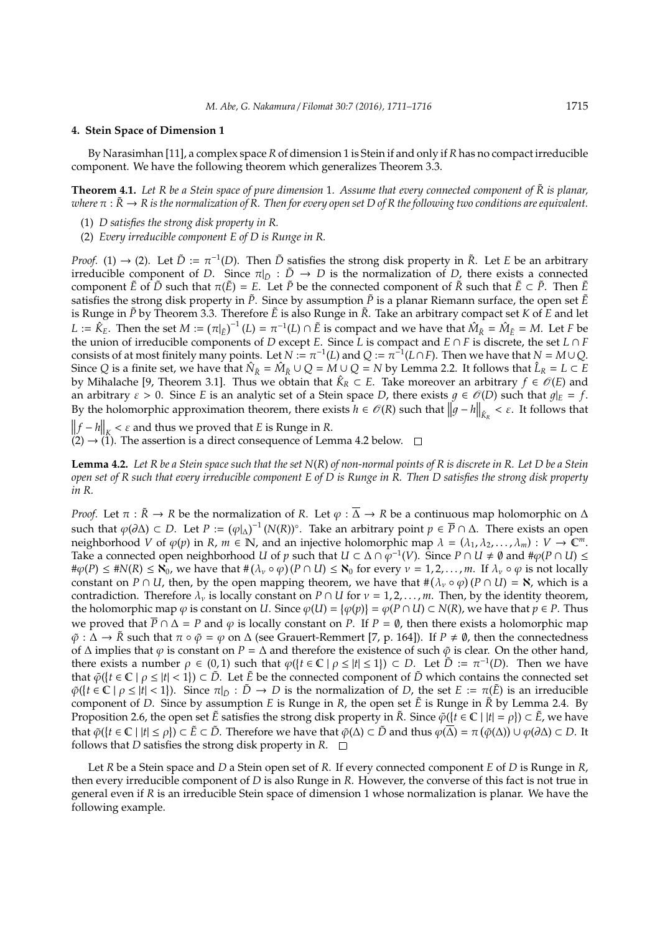#### **4. Stein Space of Dimension 1**

By Narasimhan [11], a complex space *R* of dimension 1 is Stein if and only if *R* has no compact irreducible component. We have the following theorem which generalizes Theorem 3.3.

**Theorem 4.1.** *Let R be a Stein space of pure dimension* 1*. Assume that every connected component of R is planar,* ˜ *where*  $\pi : \tilde{R} \to R$  *is the normalization of R. Then for every open set D of R the following two conditions are equivalent.* 

- (1) *D satisfies the strong disk property in R.*
- (2) *Every irreducible component E of D is Runge in R.*

*Proof.* (1)  $\rightarrow$  (2). Let  $\tilde{D} := \pi^{-1}(D)$ . Then  $\tilde{D}$  satisfies the strong disk property in  $\tilde{R}$ . Let *E* be an arbitrary irreducible component of *D*. Since  $\pi|_{\tilde{D}} : \tilde{D} \to D$  is the normalization of *D*, there exists a connected component  $\tilde{E}$  of  $\tilde{D}$  such that  $\pi(\tilde{E}) = E$ . Let  $\tilde{P}$  be the connected component of  $\tilde{R}$  such that  $\tilde{E} \subset \tilde{P}$ . Then  $\tilde{E}$ satisfies the strong disk property in  $\tilde{P}$ . Since by assumption  $\tilde{P}$  is a planar Riemann surface, the open set  $\tilde{E}$ is Runge in  $\tilde{P}$  by Theorem 3.3. Therefore  $\tilde{E}$  is also Runge in  $\tilde{R}$ . Take an arbitrary compact set *K* of *E* and let  $L := \hat{K}_E$ . Then the set  $M := (\pi|_{\tilde{E}})^{-1}(L) = \pi^{-1}(L) \cap \tilde{E}$  is compact and we have that  $\hat{M}_R = \hat{M}_E = M$ . Let *F* be the union of irreducible components of *D* except *E*. Since *L* is compact and  $E \cap F$  is discrete, the set  $L \cap F$ consists of at most finitely many points. Let  $N := \pi^{-1}(L)$  and  $Q := \pi^{-1}(L \cap F)$ . Then we have that  $N = M \cup Q$ . Since *Q* is a finite set, we have that  $\hat{N}_{\tilde{R}} = \hat{M}_{\tilde{R}} \cup Q = M \cup Q = N$  by Lemma 2.2. It follows that  $\hat{L}_R = L \subset E$ by Mihalache [9, Theorem 3.1]. Thus we obtain that  $\hat{K}_R \subset E$ . Take moreover an arbitrary  $f \in \mathscr{O}(E)$  and an arbitrary  $\varepsilon > 0$ . Since *E* is an analytic set of a Stein space *D*, there exists  $g \in \mathcal{O}(D)$  such that  $g|_E = f$ . By the holomorphic approximation theorem, there exists  $h \in \mathcal{O}(R)$  such that  $\left\| g - h \right\|_{\hat{K}_R} < \varepsilon$ . It follows that

 $\left\|f - h\right\|_{K} < \varepsilon$  and thus we proved that *E* is Runge in *R*.

 $(2) \rightarrow (1)$ . The assertion is a direct consequence of Lemma 4.2 below.  $\square$ 

**Lemma 4.2.** *Let R be a Stein space such that the set N*(*R*) *of non-normal points of R is discrete in R. Let D be a Stein open set of R such that every irreducible component E of D is Runge in R. Then D satisfies the strong disk property in R.*

*Proof.* Let  $\pi : \tilde{R} \to R$  be the normalization of R. Let  $\varphi : \overline{\Delta} \to R$  be a continuous map holomorphic on  $\Delta$ such that  $\varphi$ (∂∆) ⊂ *D*. Let *P* :=  $(\varphi|_∆)^{-1}$  (*N*(*R*))°. Take an arbitrary point  $p \in \overline{P} \cap ∆$ . There exists an open neighborhood *V* of  $\varphi(p)$  in *R*,  $m \in \mathbb{N}$ , and an injective holomorphic map  $\lambda = (\lambda_1, \lambda_2, ..., \lambda_m) : V \to \mathbb{C}^m$ . Take a connected open neighborhood *U* of *p* such that  $U \subset \Delta \cap \rho^{-1}(V)$ . Since  $P \cap U \neq \emptyset$  and  $\#\varphi(P \cap U) \leq$  $\#\varphi(P) \leq \#\mathcal{N}(R) \leq \aleph_0$ , we have that  $\#\left(\lambda_\nu \circ \varphi\right)(P \cap U) \leq \aleph_0$  for every  $\nu = 1, 2, ..., m$ . If  $\lambda_\nu \circ \varphi$  is not locally constant on *P* ∩ *U*, then, by the open mapping theorem, we have that  $\#(\lambda_v \circ \varphi)(P \cap U) = \aleph$ , which is a contradiction. Therefore  $\lambda_{\nu}$  is locally constant on *P* ∩ *U* for  $\nu$  = 1, 2, . . . , *m*. Then, by the identity theorem, the holomorphic map  $\varphi$  is constant on *U*. Since  $\varphi(U) = {\varphi(p)} = \varphi(P \cap U) \subset N(R)$ , we have that  $p \in P$ . Thus we proved that  $\overline{P} \cap \Delta = P$  and  $\varphi$  is locally constant on *P*. If  $P = \emptyset$ , then there exists a holomorphic map  $\tilde{\varphi}: \Delta \to \tilde{R}$  such that  $\pi \circ \tilde{\varphi} = \varphi$  on  $\Delta$  (see Grauert-Remmert [7, p. 164]). If  $P \neq \emptyset$ , then the connectedness of  $\Delta$  implies that  $\varphi$  is constant on *P* =  $\Delta$  and therefore the existence of such  $\varphi$  is clear. On the other hand, there exists a number  $\rho \in (0,1)$  such that  $\varphi({t \in \mathbb{C} \mid \rho \leq |t| \leq 1}) \subset D$ . Let  $\tilde{D} := \pi^{-1}(D)$ . Then we have that  $\tilde{\varphi}(\{t \in \mathbb{C} \mid \rho \leq |t| < 1\}) \subset \tilde{D}$ . Let  $\tilde{E}$  be the connected component of  $\tilde{D}$  which contains the connected set  $\tilde{\varphi}(\{t \in \mathbb{C} \mid \rho \leq |t| < 1\})$ . Since  $\pi|_{\tilde{D}} : \tilde{D} \to D$  is the normalization of *D*, the set  $E := \pi(\tilde{E})$  is an irreducible component of *D*. Since by assumption *E* is Runge in *R*, the open set  $\tilde{E}$  is Runge in  $\tilde{R}$  by Lemma 2.4. By Proposition 2.6, the open set  $\tilde{E}$  satisfies the strong disk property in  $\tilde{R}$ . Since  $\tilde{\varphi}(\{t \in \mathbb{C} \mid |t| = \rho\}) \subset \tilde{E}$ , we have that  $\tilde{\varphi}(\{t \in \mathbb{C} \mid |t| \le \rho\}) \subset \tilde{E} \subset \tilde{D}$ . Therefore we have that  $\tilde{\varphi}(\Delta) \subset \tilde{D}$  and thus  $\varphi(\overline{\Delta}) = \pi (\tilde{\varphi}(\Delta)) \cup \varphi(\partial \Delta) \subset D$ . It follows that *D* satisfies the strong disk property in  $R$ .  $\Box$ 

Let *R* be a Stein space and *D* a Stein open set of *R*. If every connected component *E* of *D* is Runge in *R*, then every irreducible component of *D* is also Runge in *R*. However, the converse of this fact is not true in general even if *R* is an irreducible Stein space of dimension 1 whose normalization is planar. We have the following example.